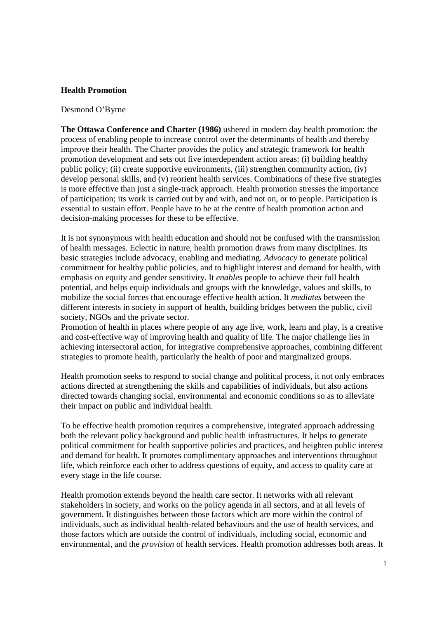## **Health Promotion**

## Desmond O'Byrne

**The Ottawa Conference and Charter (1986)** ushered in modern day health promotion: the process of enabling people to increase control over the determinants of health and thereby improve their health. The Charter provides the policy and strategic framework for health promotion development and sets out five interdependent action areas: (i) building healthy public policy; (ii) create supportive environments, (iii) strengthen community action, (iv) develop personal skills, and (v) reorient health services. Combinations of these five strategies is more effective than just a single-track approach. Health promotion stresses the importance of participation; its work is carried out by and with, and not on, or to people. Participation is essential to sustain effort. People have to be at the centre of health promotion action and decision-making processes for these to be effective.

It is not synonymous with health education and should not be confused with the transmission of health messages. Eclectic in nature, health promotion draws from many disciplines. Its basic strategies include advocacy, enabling and mediating. *Advocacy* to generate political commitment for healthy public policies, and to highlight interest and demand for health, with emphasis on equity and gender sensitivity. It *enables* people to achieve their full health potential, and helps equip individuals and groups with the knowledge, values and skills, to mobilize the social forces that encourage effective health action. It *mediates* between the different interests in society in support of health, building bridges between the public, civil society, NGOs and the private sector.

Promotion of health in places where people of any age live, work, learn and play, is a creative and cost-effective way of improving health and quality of life. The major challenge lies in achieving intersectoral action, for integrative comprehensive approaches, combining different strategies to promote health, particularly the health of poor and marginalized groups.

Health promotion seeks to respond to social change and political process, it not only embraces actions directed at strengthening the skills and capabilities of individuals, but also actions directed towards changing social, environmental and economic conditions so as to alleviate their impact on public and individual health.

To be effective health promotion requires a comprehensive, integrated approach addressing both the relevant policy background and public health infrastructures. It helps to generate political commitment for health supportive policies and practices, and heighten public interest and demand for health. It promotes complimentary approaches and interventions throughout life, which reinforce each other to address questions of equity, and access to quality care at every stage in the life course.

Health promotion extends beyond the health care sector. It networks with all relevant stakeholders in society, and works on the policy agenda in all sectors, and at all levels of government. It distinguishes between those factors which are more within the control of individuals, such as individual health-related behaviours and the *use* of health services, and those factors which are outside the control of individuals, including social, economic and environmental, and the *provision* of health services. Health promotion addresses both areas. It